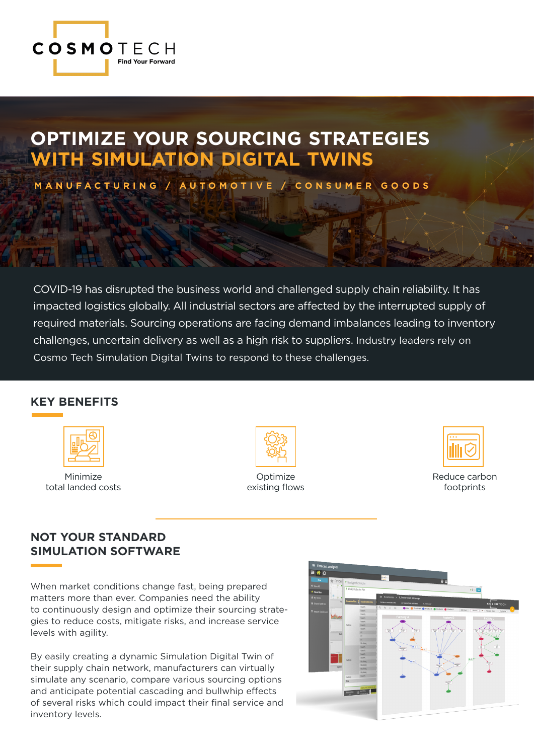

### **OPTIMIZE YOUR SOURCING STRATEGIES WITH SIMULATION DIGITAL TWINS**

**MANUFACTURING / AUTOMOTIVE / CONSUMER GOODS** 

COVID-19 has disrupted the business world and challenged supply chain reliability. It has impacted logistics globally. All industrial sectors are affected by the interrupted supply of required materials. Sourcing operations are facing demand imbalances leading to inventory challenges, uncertain delivery as well as a high risk to suppliers. Industry leaders rely on Cosmo Tech Simulation Digital Twins to respond to these challenges.

#### **KEY BENEFITS**



Minimize total landed costs



Optimize existing flows



Reduce carbon footprints

### **NOT YOUR STANDARD SIMULATION SOFTWARE**

When market conditions change fast, being prepared matters more than ever. Companies need the ability to continuously design and optimize their sourcing strategies to reduce costs, mitigate risks, and increase service levels with agility.

By easily creating a dynamic Simulation Digital Twin of their supply chain network, manufacturers can virtually simulate any scenario, compare various sourcing options and anticipate potential cascading and bullwhip effects of several risks which could impact their final service and inventory levels.